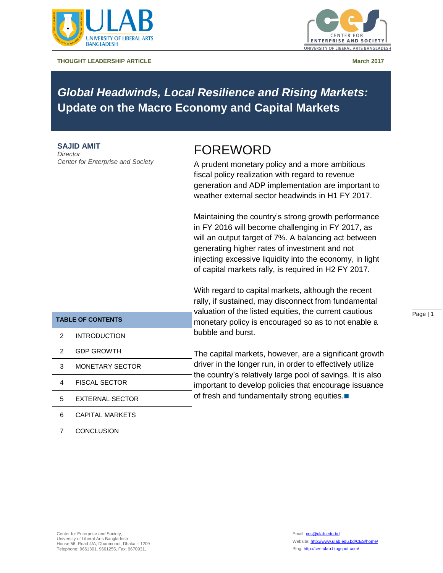

**THOUGHT LEADERSHIP ARTICLE And a struck of the struck of the struck of the struck of the March 2017** 



# *Global Headwinds, Local Resilience and Rising Markets:*  **Update on the Macro Economy and Capital Markets**

**SAJID AMIT** *Director Center for Enterprise and Society*

# FOREWORD

A prudent monetary policy and a more ambitious fiscal policy realization with regard to revenue generation and ADP implementation are important to weather external sector headwinds in H1 FY 2017.

Maintaining the country's strong growth performance in FY 2016 will become challenging in FY 2017, as will an output target of 7%. A balancing act between generating higher rates of investment and not injecting excessive liquidity into the economy, in light of capital markets rally, is required in H2 FY 2017.

With regard to capital markets, although the recent rally, if sustained, may disconnect from fundamental valuation of the listed equities, the current cautious monetary policy is encouraged so as to not enable a bubble and burst.

The capital markets, however, are a significant growth driver in the longer run, in order to effectively utilize the country's relatively large pool of savings. It is also important to develop policies that encourage issuance of fresh and fundamentally strong equities.

Page | 1

| <b>TABLE OF CONTENTS</b> |                        |  |
|--------------------------|------------------------|--|
| 2                        | INTRODUCTION           |  |
| 2                        | <b>GDP GROWTH</b>      |  |
| 3                        | MONETARY SECTOR        |  |
| 4                        | <b>FISCAL SECTOR</b>   |  |
| 5                        | <b>FXTERNAL SECTOR</b> |  |
| հ                        | CAPITAL MARKETS        |  |
|                          |                        |  |

7 CONCLUSION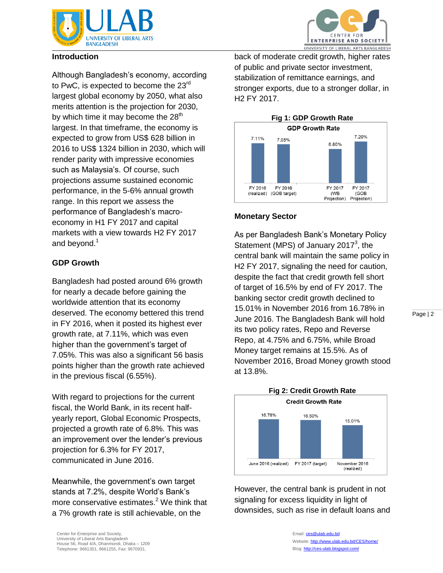



#### **Introduction**

Although Bangladesh's economy, according to PwC, is expected to become the 23<sup>rd</sup> largest global economy by 2050, what also merits attention is the projection for 2030, by which time it may become the  $28<sup>th</sup>$ largest. In that timeframe, the economy is expected to grow from US\$ 628 billion in 2016 to US\$ 1324 billion in 2030, which will render parity with impressive economies such as Malaysia's. Of course, such projections assume sustained economic performance, in the 5-6% annual growth range. In this report we assess the performance of Bangladesh's macroeconomy in H1 FY 2017 and capital markets with a view towards H2 FY 2017 and beyond. $<sup>1</sup>$ </sup>

### **GDP Growth**

Bangladesh had posted around 6% growth for nearly a decade before gaining the worldwide attention that its economy deserved. The economy bettered this trend in FY 2016, when it posted its highest ever growth rate, at 7.11%, which was even higher than the government's target of 7.05%. This was also a significant 56 basis points higher than the growth rate achieved in the previous fiscal (6.55%).

With regard to projections for the current fiscal, the World Bank, in its recent halfyearly report, Global Economic Prospects, projected a growth rate of 6.8%. This was an improvement over the lender's previous projection for 6.3% for FY 2017, communicated in June 2016.

Meanwhile, the government's own target stands at 7.2%, despite World's Bank's more conservative estimates.<sup>2</sup> We think that a 7% growth rate is still achievable, on the

back of moderate credit growth, higher rates of public and private sector investment, stabilization of remittance earnings, and stronger exports, due to a stronger dollar, in H2 FY 2017.



## **Monetary Sector**

As per Bangladesh Bank's Monetary Policy Statement (MPS) of January 2017 $3$ , the central bank will maintain the same policy in H2 FY 2017, signaling the need for caution, despite the fact that credit growth fell short of target of 16.5% by end of FY 2017. The banking sector credit growth declined to 15.01% in November 2016 from 16.78% in June 2016. The Bangladesh Bank will hold its two policy rates, Repo and Reverse Repo, at 4.75% and 6.75%, while Broad Money target remains at 15.5%. As of November 2016, Broad Money growth stood at 13.8%.



However, the central bank is prudent in not signaling for excess liquidity in light of downsides, such as rise in default loans and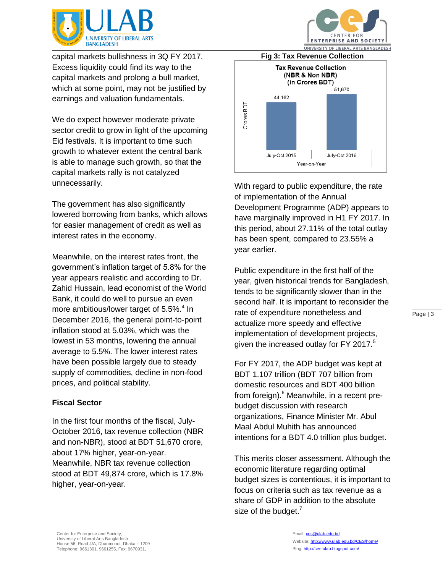

capital markets bullishness in 3Q FY 2017. Excess liquidity could find its way to the capital markets and prolong a bull market, which at some point, may not be justified by earnings and valuation fundamentals.

We do expect however moderate private sector credit to grow in light of the upcoming Eid festivals. It is important to time such growth to whatever extent the central bank is able to manage such growth, so that the capital markets rally is not catalyzed unnecessarily.

The government has also significantly lowered borrowing from banks, which allows for easier management of credit as well as interest rates in the economy.

Meanwhile, on the interest rates front, the government's inflation target of 5.8% for the year appears realistic and according to Dr. Zahid Hussain, lead economist of the World Bank, it could do well to pursue an even more ambitious/lower target of 5.5%.<sup>4</sup> In December 2016, the general point-to-point inflation stood at 5.03%, which was the lowest in 53 months, lowering the annual average to 5.5%. The lower interest rates have been possible largely due to steady supply of commodities, decline in non-food prices, and political stability.

#### **Fiscal Sector**

In the first four months of the fiscal, July-October 2016, tax revenue collection (NBR and non-NBR), stood at BDT 51,670 crore, about 17% higher, year-on-year. Meanwhile, NBR tax revenue collection stood at BDT 49,874 crore, which is 17.8% higher, year-on-year.





With regard to public expenditure, the rate of implementation of the Annual Development Programme (ADP) appears to have marginally improved in H1 FY 2017. In this period, about 27.11% of the total outlay has been spent, compared to 23.55% a year earlier.

Public expenditure in the first half of the year, given historical trends for Bangladesh, tends to be significantly slower than in the second half. It is important to reconsider the rate of expenditure nonetheless and actualize more speedy and effective implementation of development projects, given the increased outlay for FY 2017. $5$ 

For FY 2017, the ADP budget was kept at BDT 1.107 trillion (BDT 707 billion from domestic resources and BDT 400 billion from foreign).<sup>6</sup> Meanwhile, in a recent prebudget discussion with research organizations, Finance Minister Mr. Abul Maal Abdul Muhith has announced intentions for a BDT 4.0 trillion plus budget.

This merits closer assessment. Although the economic literature regarding optimal budget sizes is contentious, it is important to focus on criteria such as tax revenue as a share of GDP in addition to the absolute size of the budget. $<sup>7</sup>$ </sup>

Email: [ces@ulab.edu.bd](mailto:ces@ulab.edu.bd) Website[: http://www.ulab.edu.bd/CES/home/](http://www.ulab.edu.bd/CES/home/) Blog[: http://ces-ulab.blogspot.com/](http://ces-ulab.blogspot.com/)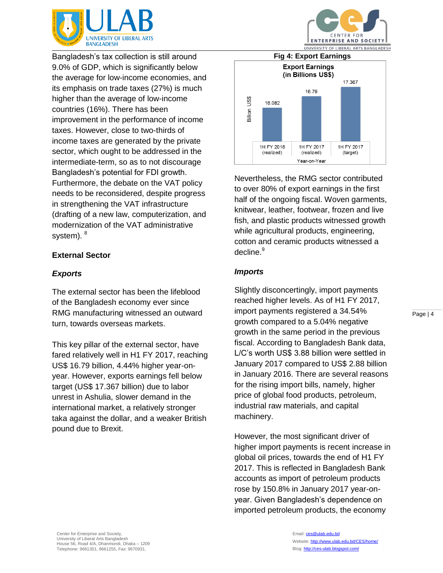

Bangladesh's tax collection is still around 9.0% of GDP, which is significantly below the average for low-income economies, and its emphasis on trade taxes (27%) is much higher than the average of low-income countries (16%). There has been improvement in the performance of income taxes. However, close to two-thirds of income taxes are generated by the private sector, which ought to be addressed in the intermediate-term, so as to not discourage Bangladesh's potential for FDI growth. Furthermore, the debate on the VAT policy needs to be reconsidered, despite progress in strengthening the VAT infrastructure (drafting of a new law, computerization, and modernization of the VAT administrative system). <sup>8</sup>

## **External Sector**

### *Exports*

The external sector has been the lifeblood of the Bangladesh economy ever since RMG manufacturing witnessed an outward turn, towards overseas markets.

This key pillar of the external sector, have fared relatively well in H1 FY 2017, reaching US\$ 16.79 billion, 4.44% higher year-onyear. However, exports earnings fell below target (US\$ 17.367 billion) due to labor unrest in Ashulia, slower demand in the international market, a relatively stronger taka against the dollar, and a weaker British pound due to Brexit.



CENTER FOR

Nevertheless, the RMG sector contributed to over 80% of export earnings in the first half of the ongoing fiscal. Woven garments, knitwear, leather, footwear, frozen and live fish, and plastic products witnessed growth while agricultural products, engineering, cotton and ceramic products witnessed a decline.<sup>9</sup>

#### *Imports*

Slightly disconcertingly, import payments reached higher levels. As of H1 FY 2017, import payments registered a 34.54% growth compared to a 5.04% negative growth in the same period in the previous fiscal. According to Bangladesh Bank data, L/C's worth US\$ 3.88 billion were settled in January 2017 compared to US\$ 2.88 billion in January 2016. There are several reasons for the rising import bills, namely, higher price of global food products, petroleum, industrial raw materials, and capital machinery.

However, the most significant driver of higher import payments is recent increase in global oil prices, towards the end of H1 FY 2017. This is reflected in Bangladesh Bank accounts as import of petroleum products rose by 150.8% in January 2017 year-onyear. Given Bangladesh's dependence on imported petroleum products, the economy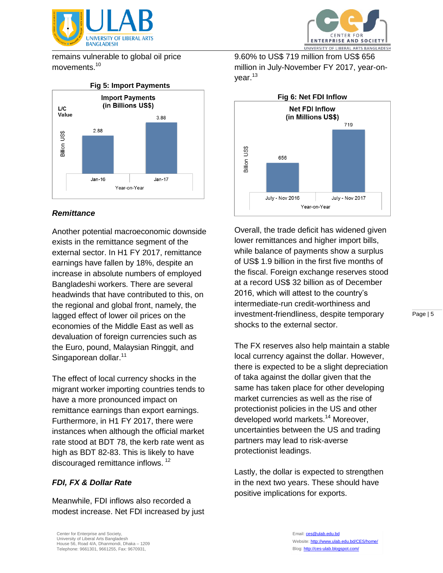

remains vulnerable to global oil price movements.<sup>10</sup>



## *Remittance*

Another potential macroeconomic downside exists in the remittance segment of the external sector. In H1 FY 2017, remittance earnings have fallen by 18%, despite an increase in absolute numbers of employed Bangladeshi workers. There are several headwinds that have contributed to this, on the regional and global front, namely, the lagged effect of lower oil prices on the economies of the Middle East as well as devaluation of foreign currencies such as the Euro, pound, Malaysian Ringgit, and Singaporean dollar.<sup>11</sup>

The effect of local currency shocks in the migrant worker importing countries tends to have a more pronounced impact on remittance earnings than export earnings. Furthermore, in H1 FY 2017, there were instances when although the official market rate stood at BDT 78, the kerb rate went as high as BDT 82-83. This is likely to have discouraged remittance inflows.<sup>12</sup>

### *FDI, FX & Dollar Rate*

Meanwhile, FDI inflows also recorded a modest increase. Net FDI increased by just



9.60% to US\$ 719 million from US\$ 656 million in July-November FY 2017, year-onyear.<sup>13</sup>



Overall, the trade deficit has widened given lower remittances and higher import bills, while balance of payments show a surplus of US\$ 1.9 billion in the first five months of the fiscal. Foreign exchange reserves stood at a record US\$ 32 billion as of December 2016, which will attest to the country's intermediate-run credit-worthiness and investment-friendliness, despite temporary shocks to the external sector.

The FX reserves also help maintain a stable local currency against the dollar. However, there is expected to be a slight depreciation of taka against the dollar given that the same has taken place for other developing market currencies as well as the rise of protectionist policies in the US and other developed world markets.<sup>14</sup> Moreover, uncertainties between the US and trading partners may lead to risk-averse protectionist leadings.

Lastly, the dollar is expected to strengthen in the next two years. These should have positive implications for exports.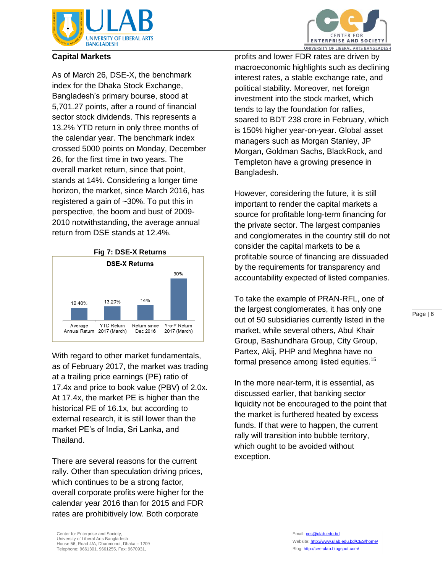

## **Capital Markets**

As of March 26, DSE-X, the benchmark index for the Dhaka Stock Exchange, Bangladesh's primary bourse, stood at 5,701.27 points, after a round of financial sector stock dividends. This represents a 13.2% YTD return in only three months of the calendar year. The benchmark index crossed 5000 points on Monday, December 26, for the first time in two years. The overall market return, since that point, stands at 14%. Considering a longer time horizon, the market, since March 2016, has registered a gain of ~30%. To put this in perspective, the boom and bust of 2009- 2010 notwithstanding, the average annual return from DSE stands at 12.4%.



With regard to other market fundamentals, as of February 2017, the market was trading at a trailing price earnings (PE) ratio of 17.4x and price to book value (PBV) of 2.0x. At 17.4x, the market PE is higher than the historical PE of 16.1x, but according to external research, it is still lower than the market PE's of India, Sri Lanka, and Thailand.

There are several reasons for the current rally. Other than speculation driving prices, which continues to be a strong factor, overall corporate profits were higher for the calendar year 2016 than for 2015 and FDR rates are prohibitively low. Both corporate



profits and lower FDR rates are driven by macroeconomic highlights such as declining interest rates, a stable exchange rate, and political stability. Moreover, net foreign investment into the stock market, which tends to lay the foundation for rallies, soared to BDT 238 crore in February, which is 150% higher year-on-year. Global asset managers such as Morgan Stanley, JP Morgan, Goldman Sachs, BlackRock, and Templeton have a growing presence in Bangladesh.

However, considering the future, it is still important to render the capital markets a source for profitable long-term financing for the private sector. The largest companies and conglomerates in the country still do not consider the capital markets to be a profitable source of financing are dissuaded by the requirements for transparency and accountability expected of listed companies.

To take the example of PRAN-RFL, one of the largest conglomerates, it has only one out of 50 subsidiaries currently listed in the market, while several others, Abul Khair Group, Bashundhara Group, City Group, Partex, Akij, PHP and Meghna have no formal presence among listed equities.<sup>15</sup>

In the more near-term, it is essential, as discussed earlier, that banking sector liquidity not be encouraged to the point that the market is furthered heated by excess funds. If that were to happen, the current rally will transition into bubble territory, which ought to be avoided without exception.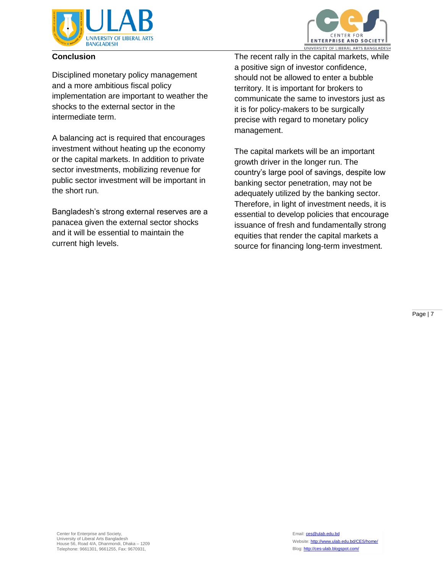

### **Conclusion**

CENTER FOR **ENTERPRISE AND SOCIETY** UNIVERSITY OF LIBERAL ARTS BANGLADESH

Disciplined monetary policy management and a more ambitious fiscal policy implementation are important to weather the shocks to the external sector in the intermediate term.

A balancing act is required that encourages investment without heating up the economy or the capital markets. In addition to private sector investments, mobilizing revenue for public sector investment will be important in the short run.

Bangladesh's strong external reserves are a panacea given the external sector shocks and it will be essential to maintain the current high levels.

The recent rally in the capital markets, while a positive sign of investor confidence, should not be allowed to enter a bubble territory. It is important for brokers to communicate the same to investors just as it is for policy-makers to be surgically precise with regard to monetary policy management.

The capital markets will be an important growth driver in the longer run. The country's large pool of savings, despite low banking sector penetration, may not be adequately utilized by the banking sector. Therefore, in light of investment needs, it is essential to develop policies that encourage issuance of fresh and fundamentally strong equities that render the capital markets a source for financing long-term investment.